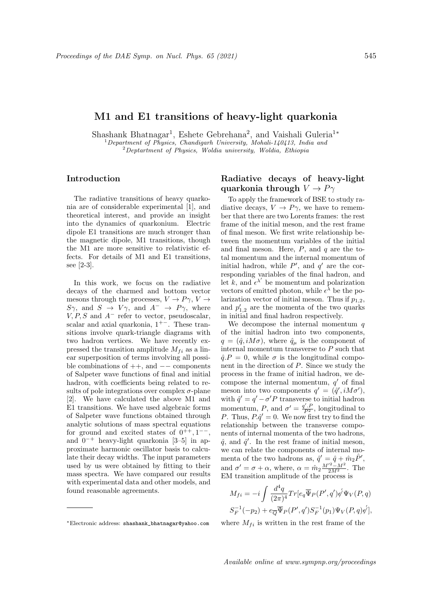## M1 and E1 transitions of heavy-light quarkonia

Shashank Bhatnagar<sup>1</sup>, Eshete Gebrehana<sup>2</sup>, and Vaishali Guleria<sup>1</sup>\*  $1$  Department of Physics, Chandigarh University, Mohali-140413, India and  $2$ Deptartment of Physics, Woldia university, Woldia, Ethiopia

#### Introduction

The radiative transitions of heavy quarkonia are of considerable experimental [1], and theoretical interest, and provide an insight into the dynamics of quarkonium. Electric dipole E1 transitions are much stronger than the magnetic dipole, M1 transitions, though the M1 are more sensitive to relativistic effects. For details of M1 and E1 transitions, see [2-3].

In this work, we focus on the radiative decays of the charmed and bottom vector mesons through the processes,  $V \to P\gamma$ ,  $V \to$  $S\gamma$ , and  $S \rightarrow V\gamma$ , and  $A^{-} \rightarrow P\gamma$ , where  $V, P, S$  and  $A^-$  refer to vector, pseudoscalar, scalar and axial quarkonia,  $1^{+-}$ . These transitions involve quark-triangle diagrams with two hadron vertices. We have recently expressed the transition amplitude  $M_{fi}$  as a linear superposition of terms involving all possible combinations of  $++$ , and  $--$  components of Salpeter wave functions of final and initial hadron, with coefficients being related to results of pole integrations over complex  $\sigma$ -plane [2]. We have calculated the above M1 and E1 transitions. We have used algebraic forms of Salpeter wave functions obtained through analytic solutions of mass spectral equations for ground and excited states of  $0^{++}$ ,  $1^{--}$ , and  $0^{-+}$  heavy-light quarkonia [3–5] in approximate harmonic oscillator basis to calculate their decay widths. The input parameters used by us were obtained by fitting to their mass spectra. We have compared our results with experimental data and other models, and found reasonable agreements.

## Radiative decays of heavy-light quarkonia through  $V \to P\gamma$

To apply the framework of BSE to study radiative decays,  $V \rightarrow P\gamma$ , we have to remember that there are two Lorents frames: the rest frame of the initial meson, and the rest frame of final meson. We first write relationship between the momentum variables of the initial and final meson. Here,  $P$ , and  $q$  are the total momentum and the internal momentum of initial hadron, while  $P'$ , and  $q'$  are the corresponding variables of the final hadron, and let k, and  $\epsilon^{\lambda'}$  be momentum and polarization vectors of emitted photon, while  $\epsilon^{\lambda}$  be the polarization vector of initial meson. Thus if  $p_{1,2}$ , and  $p'_{1,2}$  are the momenta of the two quarks in initial and final hadron respectively.

We decompose the internal momentum  $q$ of the initial hadron into two components,  $q = (\hat{q}, iM\sigma)$ , where  $\hat{q}_{\mu}$  is the component of internal momentum transverse to P such that  $\hat{q}$ .  $P = 0$ , while  $\sigma$  is the longitudinal component in the direction of P. Since we study the process in the frame of initial hadron, we decompose the internal momentum,  $q'$  of final meson into two components  $q' = (\hat{q}', iM\sigma'),$ with  $\hat{q}' = q' - \sigma' P$  transverse to initial hadron momentum, P, and  $\sigma' = \frac{q'.P}{P^2}$ , longitudinal to P. Thus,  $P \cdot \hat{q}' = 0$ . We now first try to find the relationship between the transverse components of internal momenta of the two hadrons,  $\hat{q}$ , and  $\hat{q}'$ . In the rest frame of initial meson, we can relate the components of internal momenta of the two hadrons as,  $\hat{q}' = \hat{q} + \hat{m}_2 \hat{P}'$ , and  $\sigma' = \sigma + \alpha$ , where,  $\alpha = \hat{m}_2 \frac{M'^2 - M^2}{2M^2}$ . The EM transition amplitude of the process is

$$
M_{fi} = -i \int \frac{d^4q}{(2\pi)^4} Tr[e_q \overline{\Psi}_P(P', q') \phi' \Psi_V(P, q)]
$$
  

$$
S_F^{-1}(-p_2) + e_{\overline{Q}} \overline{\Psi}_P(P', q') S_F^{-1}(p_1) \Psi_V(P, q) \phi'],
$$

where  $M_{fi}$  is written in the rest frame of the

<sup>∗</sup>Electronic address: shashank\_bhatnagar@yahoo.com